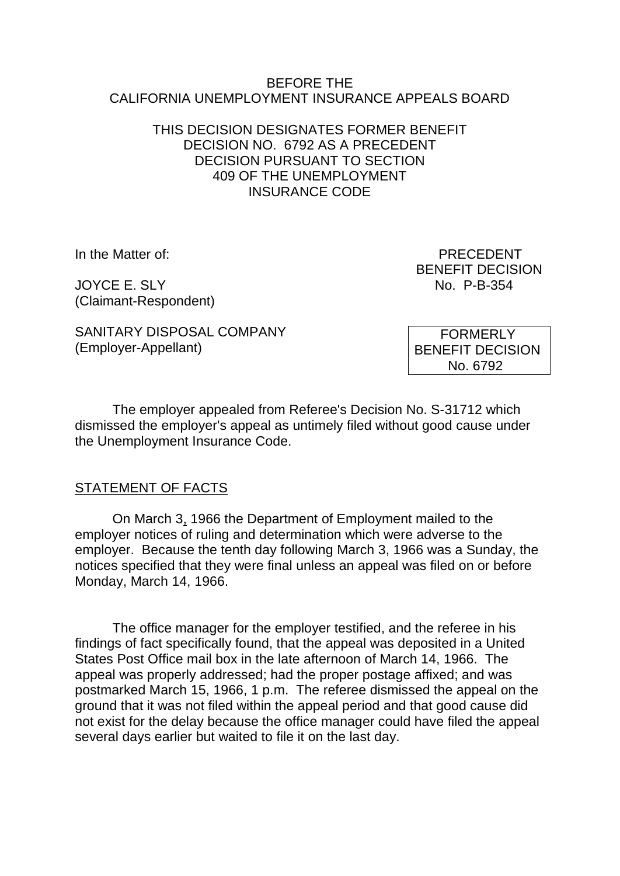#### BEFORE THE CALIFORNIA UNEMPLOYMENT INSURANCE APPEALS BOARD

## THIS DECISION DESIGNATES FORMER BENEFIT DECISION NO. 6792 AS A PRECEDENT DECISION PURSUANT TO SECTION 409 OF THE UNEMPLOYMENT INSURANCE CODE

JOYCE E. SLY No. P-B-354 (Claimant-Respondent)

In the Matter of: PRECEDENT BENEFIT DECISION

SANITARY DISPOSAL COMPANY (Employer-Appellant)

 FORMERLY BENEFIT DECISION No. 6792

The employer appealed from Referee's Decision No. S-31712 which dismissed the employer's appeal as untimely filed without good cause under the Unemployment Insurance Code.

# STATEMENT OF FACTS

On March 3, 1966 the Department of Employment mailed to the employer notices of ruling and determination which were adverse to the employer. Because the tenth day following March 3, 1966 was a Sunday, the notices specified that they were final unless an appeal was filed on or before Monday, March 14, 1966.

The office manager for the employer testified, and the referee in his findings of fact specifically found, that the appeal was deposited in a United States Post Office mail box in the late afternoon of March 14, 1966. The appeal was properly addressed; had the proper postage affixed; and was postmarked March 15, 1966, 1 p.m. The referee dismissed the appeal on the ground that it was not filed within the appeal period and that good cause did not exist for the delay because the office manager could have filed the appeal several days earlier but waited to file it on the last day.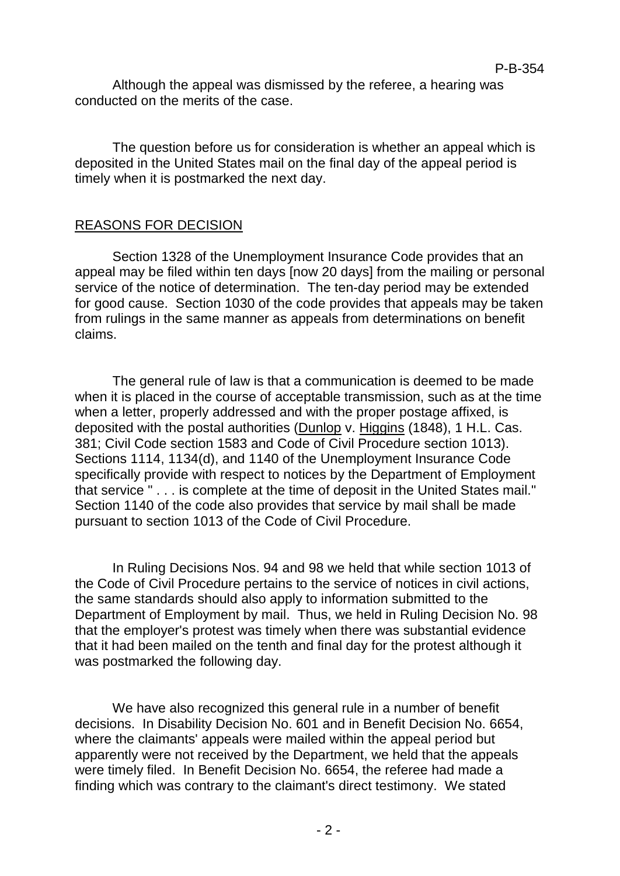Although the appeal was dismissed by the referee, a hearing was conducted on the merits of the case.

The question before us for consideration is whether an appeal which is deposited in the United States mail on the final day of the appeal period is timely when it is postmarked the next day.

## REASONS FOR DECISION

Section 1328 of the Unemployment Insurance Code provides that an appeal may be filed within ten days [now 20 days] from the mailing or personal service of the notice of determination. The ten-day period may be extended for good cause. Section 1030 of the code provides that appeals may be taken from rulings in the same manner as appeals from determinations on benefit claims.

The general rule of law is that a communication is deemed to be made when it is placed in the course of acceptable transmission, such as at the time when a letter, properly addressed and with the proper postage affixed, is deposited with the postal authorities (Dunlop v. Higgins (1848), 1 H.L. Cas. 381; Civil Code section 1583 and Code of Civil Procedure section 1013). Sections 1114, 1134(d), and 1140 of the Unemployment Insurance Code specifically provide with respect to notices by the Department of Employment that service " . . . is complete at the time of deposit in the United States mail." Section 1140 of the code also provides that service by mail shall be made pursuant to section 1013 of the Code of Civil Procedure.

In Ruling Decisions Nos. 94 and 98 we held that while section 1013 of the Code of Civil Procedure pertains to the service of notices in civil actions, the same standards should also apply to information submitted to the Department of Employment by mail. Thus, we held in Ruling Decision No. 98 that the employer's protest was timely when there was substantial evidence that it had been mailed on the tenth and final day for the protest although it was postmarked the following day.

We have also recognized this general rule in a number of benefit decisions. In Disability Decision No. 601 and in Benefit Decision No. 6654, where the claimants' appeals were mailed within the appeal period but apparently were not received by the Department, we held that the appeals were timely filed. In Benefit Decision No. 6654, the referee had made a finding which was contrary to the claimant's direct testimony. We stated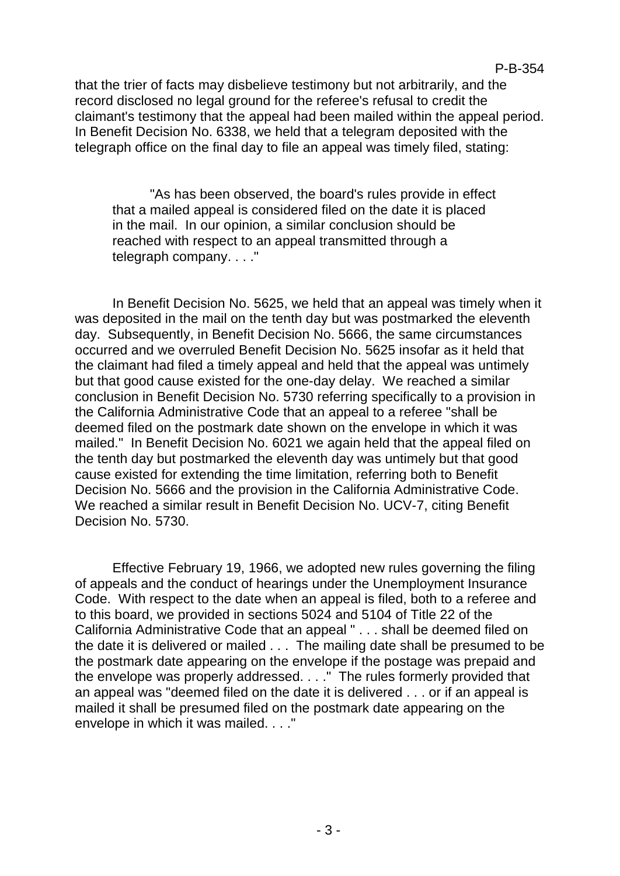that the trier of facts may disbelieve testimony but not arbitrarily, and the record disclosed no legal ground for the referee's refusal to credit the claimant's testimony that the appeal had been mailed within the appeal period. In Benefit Decision No. 6338, we held that a telegram deposited with the telegraph office on the final day to file an appeal was timely filed, stating:

"As has been observed, the board's rules provide in effect that a mailed appeal is considered filed on the date it is placed in the mail. In our opinion, a similar conclusion should be reached with respect to an appeal transmitted through a telegraph company. . . ."

In Benefit Decision No. 5625, we held that an appeal was timely when it was deposited in the mail on the tenth day but was postmarked the eleventh day. Subsequently, in Benefit Decision No. 5666, the same circumstances occurred and we overruled Benefit Decision No. 5625 insofar as it held that the claimant had filed a timely appeal and held that the appeal was untimely but that good cause existed for the one-day delay. We reached a similar conclusion in Benefit Decision No. 5730 referring specifically to a provision in the California Administrative Code that an appeal to a referee "shall be deemed filed on the postmark date shown on the envelope in which it was mailed." In Benefit Decision No. 6021 we again held that the appeal filed on the tenth day but postmarked the eleventh day was untimely but that good cause existed for extending the time limitation, referring both to Benefit Decision No. 5666 and the provision in the California Administrative Code. We reached a similar result in Benefit Decision No. UCV-7, citing Benefit Decision No. 5730.

Effective February 19, 1966, we adopted new rules governing the filing of appeals and the conduct of hearings under the Unemployment Insurance Code. With respect to the date when an appeal is filed, both to a referee and to this board, we provided in sections 5024 and 5104 of Title 22 of the California Administrative Code that an appeal " . . . shall be deemed filed on the date it is delivered or mailed . . . The mailing date shall be presumed to be the postmark date appearing on the envelope if the postage was prepaid and the envelope was properly addressed. . . ." The rules formerly provided that an appeal was "deemed filed on the date it is delivered . . . or if an appeal is mailed it shall be presumed filed on the postmark date appearing on the envelope in which it was mailed. . . ."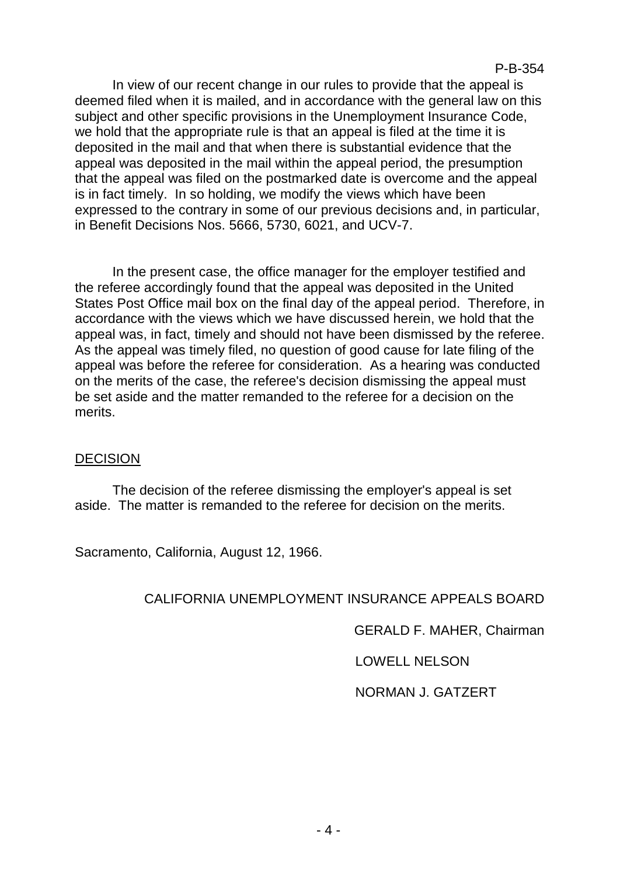In view of our recent change in our rules to provide that the appeal is deemed filed when it is mailed, and in accordance with the general law on this subject and other specific provisions in the Unemployment Insurance Code, we hold that the appropriate rule is that an appeal is filed at the time it is deposited in the mail and that when there is substantial evidence that the appeal was deposited in the mail within the appeal period, the presumption that the appeal was filed on the postmarked date is overcome and the appeal is in fact timely. In so holding, we modify the views which have been expressed to the contrary in some of our previous decisions and, in particular, in Benefit Decisions Nos. 5666, 5730, 6021, and UCV-7.

In the present case, the office manager for the employer testified and the referee accordingly found that the appeal was deposited in the United States Post Office mail box on the final day of the appeal period. Therefore, in accordance with the views which we have discussed herein, we hold that the appeal was, in fact, timely and should not have been dismissed by the referee. As the appeal was timely filed, no question of good cause for late filing of the appeal was before the referee for consideration. As a hearing was conducted on the merits of the case, the referee's decision dismissing the appeal must be set aside and the matter remanded to the referee for a decision on the merits.

#### DECISION

The decision of the referee dismissing the employer's appeal is set aside. The matter is remanded to the referee for decision on the merits.

Sacramento, California, August 12, 1966.

# CALIFORNIA UNEMPLOYMENT INSURANCE APPEALS BOARD

GERALD F. MAHER, Chairman

LOWELL NELSON

NORMAN J. GATZERT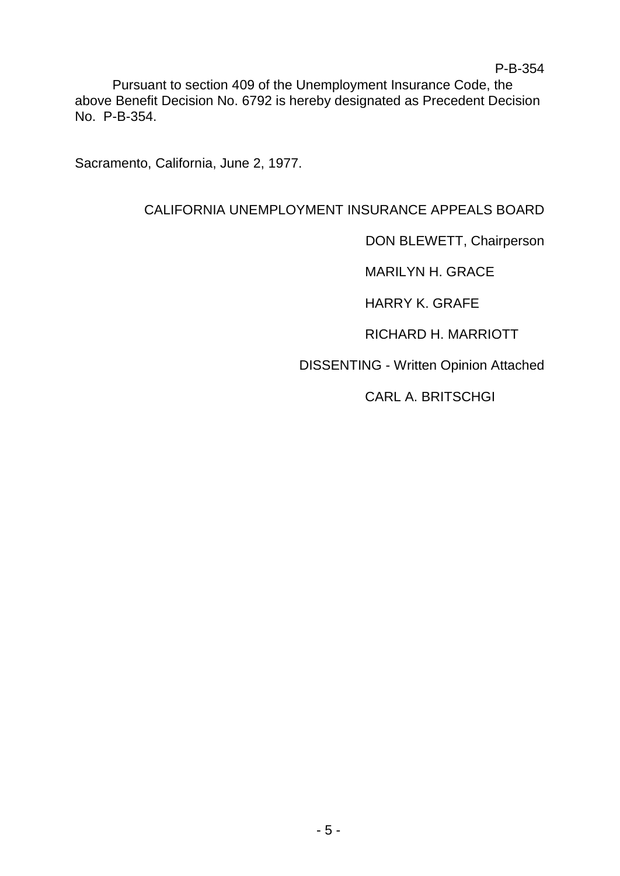Pursuant to section 409 of the Unemployment Insurance Code, the above Benefit Decision No. 6792 is hereby designated as Precedent Decision No. P-B-354.

Sacramento, California, June 2, 1977.

# CALIFORNIA UNEMPLOYMENT INSURANCE APPEALS BOARD

DON BLEWETT, Chairperson

MARILYN H. GRACE

HARRY K. GRAFE

RICHARD H. MARRIOTT

DISSENTING - Written Opinion Attached

CARL A. BRITSCHGI